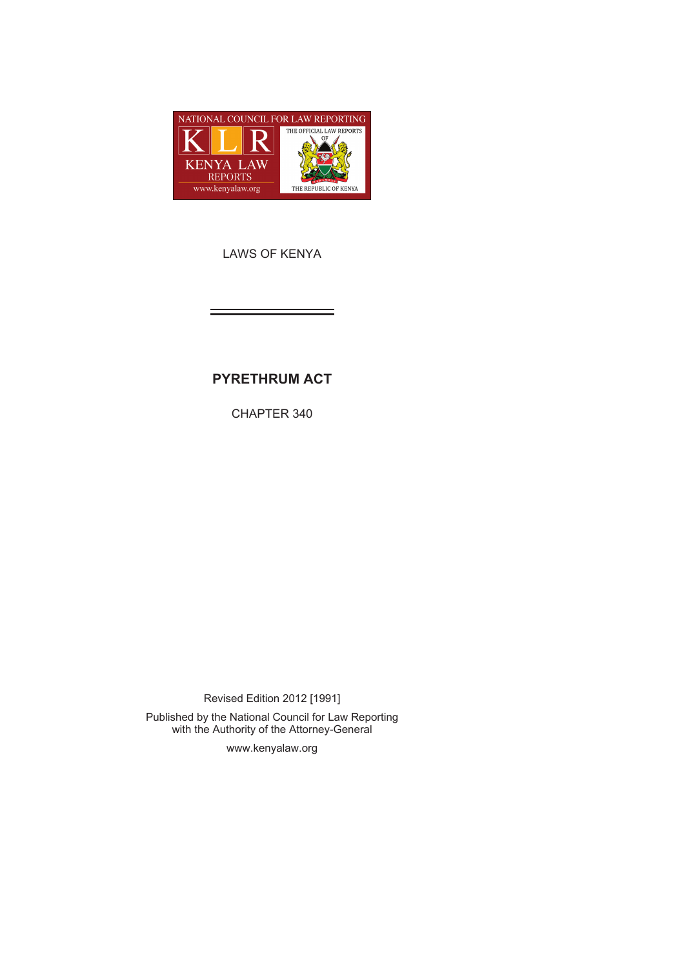

LAWS OF KENYA

# **PYRETHRUM ACT**

CHAPTER 340

Revised Edition 2012 [1991] Published by the National Council for Law Reporting with the Authority of the Attorney-General

www.kenyalaw.org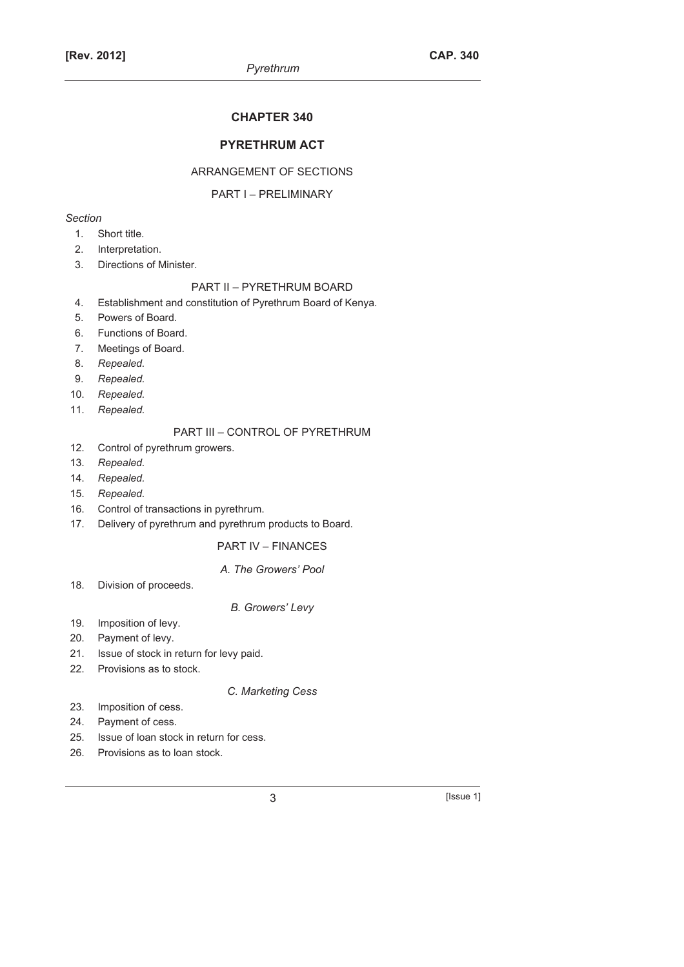## **CHAPTER 340**

## **PYRETHRUM ACT**

## ARRANGEMENT OF SECTIONS

## PART I – PRELIMINARY

## *Section*

- 1. Short title.
- 2. Interpretation.
- 3. Directions of Minister.

#### PART II – PYRETHRUM BOARD

- 4. Establishment and constitution of Pyrethrum Board of Kenya.
- 5. Powers of Board.
- 6. Functions of Board.
- 7. Meetings of Board.
- 8. *Repealed.*
- 9. *Repealed.*
- 10. *Repealed.*
- 11. *Repealed.*

## PART III – CONTROL OF PYRETHRUM

- 12. Control of pyrethrum growers.
- 13. *Repealed.*
- 14. *Repealed.*
- 15. *Repealed.*
- 16. Control of transactions in pyrethrum.
- 17. Delivery of pyrethrum and pyrethrum products to Board.

## PART IV – FINANCES

#### *A. The Growers' Pool*

18. Division of proceeds.

#### *B. Growers' Levy*

- 19. Imposition of levy.
- 20. Payment of levy.
- 21. Issue of stock in return for levy paid.
- 22. Provisions as to stock.

#### *C. Marketing Cess*

- 23. Imposition of cess.
- 24. Payment of cess.
- 25. Issue of loan stock in return for cess.
- 26. Provisions as to loan stock.

 $3$  [Issue 1]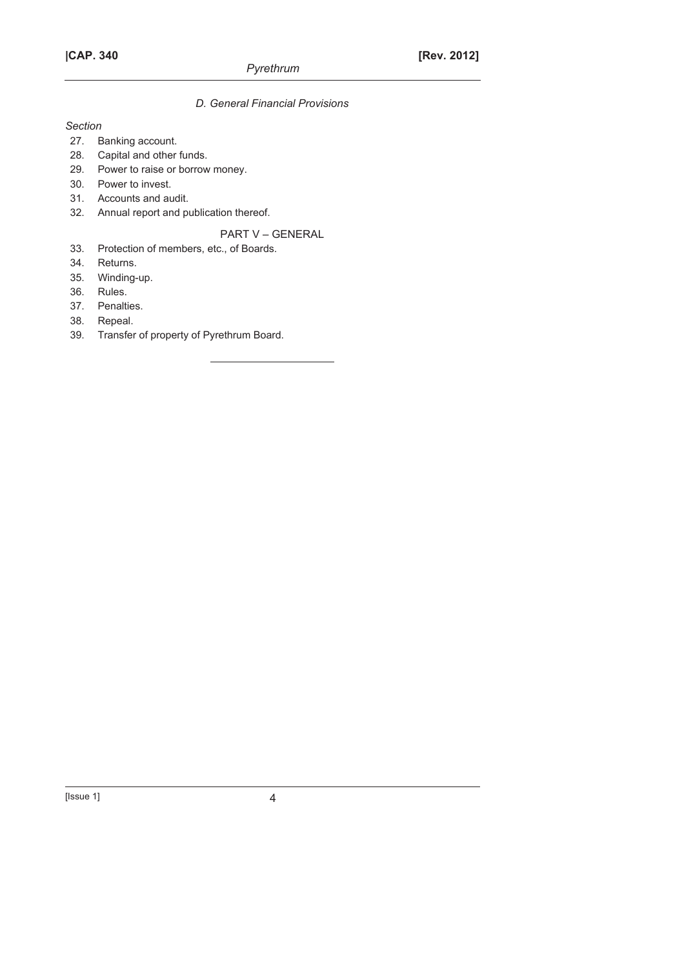## *D. General Financial Provisions*

## *Section*

- 27. Banking account.
- 28. Capital and other funds.
- 29. Power to raise or borrow money.
- 30. Power to invest.
- 31. Accounts and audit.
- 32. Annual report and publication thereof.

## PART V – GENERAL

- 33. Protection of members, etc., of Boards.
- 34. Returns.
- 35. Winding-up.
- 36. Rules.
- 37. Penalties.
- 38. Repeal.
- 39. Transfer of property of Pyrethrum Board.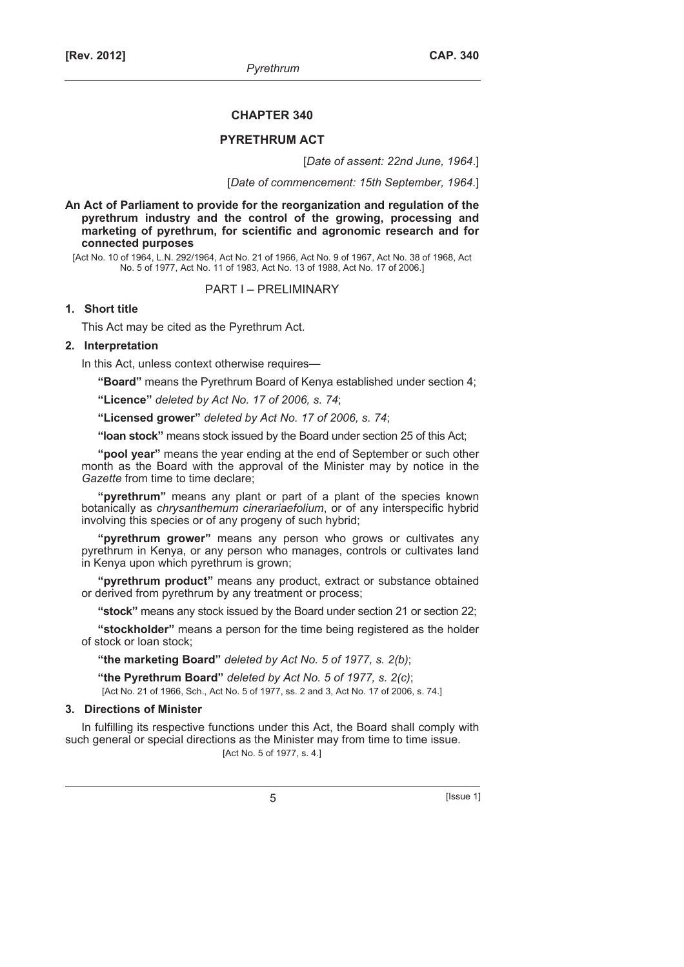#### **CHAPTER 340**

#### **PYRETHRUM ACT**

[*Date of assent: 22nd June, 1964*.]

[*Date of commencement: 15th September, 1964.*]

**An Act of Parliament to provide for the reorganization and regulation of the pyrethrum industry and the control of the growing, processing and marketing of pyrethrum, for scientific and agronomic research and for connected purposes** 

[Act No. 10 of 1964, L.N. 292/1964, Act No. 21 of 1966, Act No. 9 of 1967, Act No. 38 of 1968, Act No. 5 of 1977, Act No. 11 of 1983, Act No. 13 of 1988, Act No. 17 of 2006.]

PART I – PRELIMINARY

#### **1. Short title**

This Act may be cited as the Pyrethrum Act.

## **2. Interpretation**

In this Act, unless context otherwise requires—

**"Board"** means the Pyrethrum Board of Kenya established under section 4;

**"Licence"** *deleted by Act No. 17 of 2006, s. 74*;

**"Licensed grower"** *deleted by Act No. 17 of 2006, s. 74*;

**"loan stock"** means stock issued by the Board under section 25 of this Act;

**"pool year"** means the year ending at the end of September or such other month as the Board with the approval of the Minister may by notice in the *Gazette* from time to time declare;

**"pyrethrum"** means any plant or part of a plant of the species known botanically as *chrysanthemum cinerariaefolium*, or of any interspecific hybrid involving this species or of any progeny of such hybrid;

**"pyrethrum grower"** means any person who grows or cultivates any pyrethrum in Kenya, or any person who manages, controls or cultivates land in Kenya upon which pyrethrum is grown;

**"pyrethrum product"** means any product, extract or substance obtained or derived from pyrethrum by any treatment or process;

**"stock"** means any stock issued by the Board under section 21 or section 22;

**"stockholder"** means a person for the time being registered as the holder of stock or loan stock;

**"the marketing Board"** *deleted by Act No. 5 of 1977, s. 2(b)*;

**"the Pyrethrum Board"** *deleted by Act No. 5 of 1977, s. 2(c)*;

[Act No. 21 of 1966, Sch., Act No. 5 of 1977, ss. 2 and 3, Act No. 17 of 2006, s. 74.]

## **3. Directions of Minister**

In fulfilling its respective functions under this Act, the Board shall comply with such general or special directions as the Minister may from time to time issue.

[Act No. 5 of 1977, s. 4.]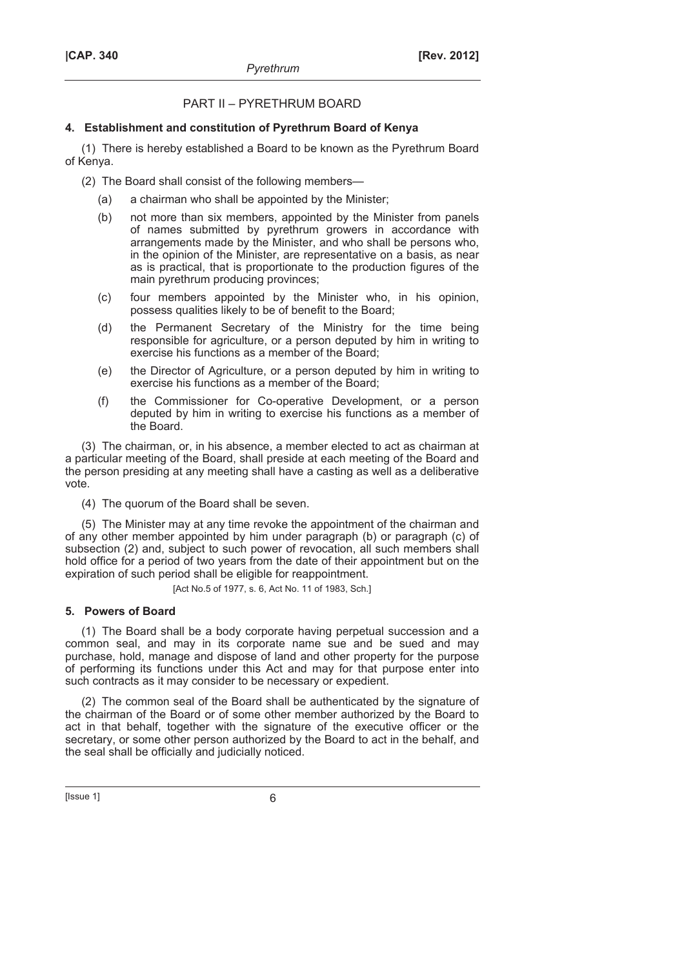# PART II – PYRETHRUM BOARD

## **4. Establishment and constitution of Pyrethrum Board of Kenya**

(1) There is hereby established a Board to be known as the Pyrethrum Board of Kenya.

(2) The Board shall consist of the following members—

- (a) a chairman who shall be appointed by the Minister;
- (b) not more than six members, appointed by the Minister from panels of names submitted by pyrethrum growers in accordance with arrangements made by the Minister, and who shall be persons who, in the opinion of the Minister, are representative on a basis, as near as is practical, that is proportionate to the production figures of the main pyrethrum producing provinces;
- (c) four members appointed by the Minister who, in his opinion, possess qualities likely to be of benefit to the Board;
- (d) the Permanent Secretary of the Ministry for the time being responsible for agriculture, or a person deputed by him in writing to exercise his functions as a member of the Board;
- (e) the Director of Agriculture, or a person deputed by him in writing to exercise his functions as a member of the Board;
- (f) the Commissioner for Co-operative Development, or a person deputed by him in writing to exercise his functions as a member of the Board.

(3) The chairman, or, in his absence, a member elected to act as chairman at a particular meeting of the Board, shall preside at each meeting of the Board and the person presiding at any meeting shall have a casting as well as a deliberative vote.

(4) The quorum of the Board shall be seven.

(5) The Minister may at any time revoke the appointment of the chairman and of any other member appointed by him under paragraph (b) or paragraph (c) of subsection (2) and, subject to such power of revocation, all such members shall hold office for a period of two years from the date of their appointment but on the expiration of such period shall be eligible for reappointment.

[Act No.5 of 1977, s. 6, Act No. 11 of 1983, Sch.]

# **5. Powers of Board**

(1) The Board shall be a body corporate having perpetual succession and a common seal, and may in its corporate name sue and be sued and may purchase, hold, manage and dispose of land and other property for the purpose of performing its functions under this Act and may for that purpose enter into such contracts as it may consider to be necessary or expedient.

(2) The common seal of the Board shall be authenticated by the signature of the chairman of the Board or of some other member authorized by the Board to act in that behalf, together with the signature of the executive officer or the secretary, or some other person authorized by the Board to act in the behalf, and the seal shall be officially and judicially noticed.

 $[|$ ssue 1 $]$  6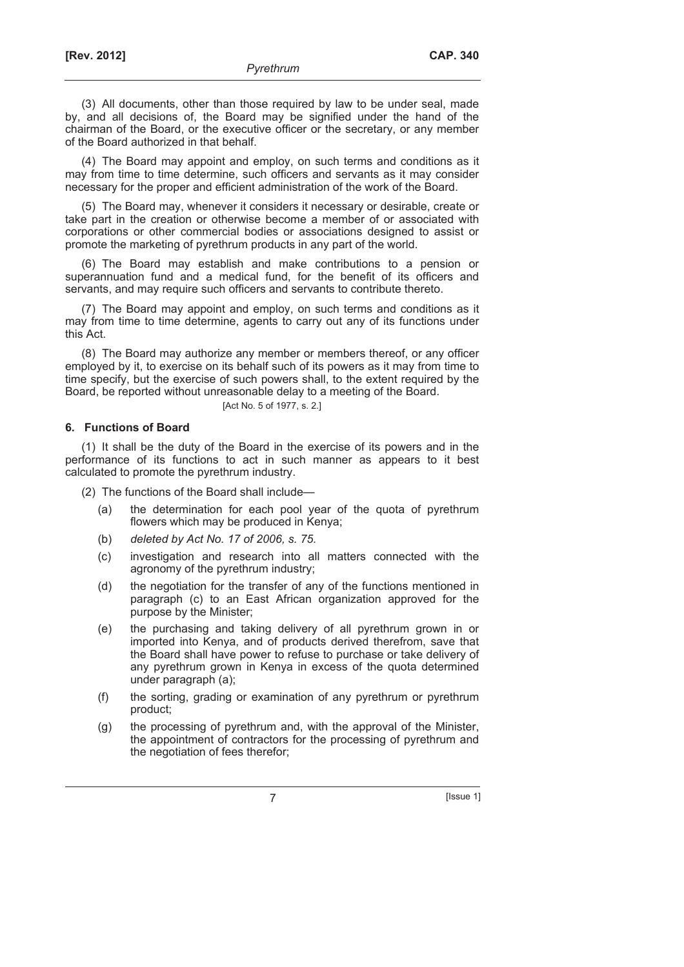(3) All documents, other than those required by law to be under seal, made by, and all decisions of, the Board may be signified under the hand of the chairman of the Board, or the executive officer or the secretary, or any member of the Board authorized in that behalf.

(4) The Board may appoint and employ, on such terms and conditions as it may from time to time determine, such officers and servants as it may consider necessary for the proper and efficient administration of the work of the Board.

(5) The Board may, whenever it considers it necessary or desirable, create or take part in the creation or otherwise become a member of or associated with corporations or other commercial bodies or associations designed to assist or promote the marketing of pyrethrum products in any part of the world.

(6) The Board may establish and make contributions to a pension or superannuation fund and a medical fund, for the benefit of its officers and servants, and may require such officers and servants to contribute thereto.

(7) The Board may appoint and employ, on such terms and conditions as it may from time to time determine, agents to carry out any of its functions under this Act.

(8) The Board may authorize any member or members thereof, or any officer employed by it, to exercise on its behalf such of its powers as it may from time to time specify, but the exercise of such powers shall, to the extent required by the Board, be reported without unreasonable delay to a meeting of the Board.

[Act No. 5 of 1977, s. 2.]

## **6. Functions of Board**

(1) It shall be the duty of the Board in the exercise of its powers and in the performance of its functions to act in such manner as appears to it best calculated to promote the pyrethrum industry.

(2) The functions of the Board shall include—

- (a) the determination for each pool year of the quota of pyrethrum flowers which may be produced in Kenya;
- (b) *deleted by Act No. 17 of 2006, s. 75*.
- (c) investigation and research into all matters connected with the agronomy of the pyrethrum industry;
- (d) the negotiation for the transfer of any of the functions mentioned in paragraph (c) to an East African organization approved for the purpose by the Minister;
- (e) the purchasing and taking delivery of all pyrethrum grown in or imported into Kenya, and of products derived therefrom, save that the Board shall have power to refuse to purchase or take delivery of any pyrethrum grown in Kenya in excess of the quota determined under paragraph (a);
- (f) the sorting, grading or examination of any pyrethrum or pyrethrum product;
- (g) the processing of pyrethrum and, with the approval of the Minister, the appointment of contractors for the processing of pyrethrum and the negotiation of fees therefor;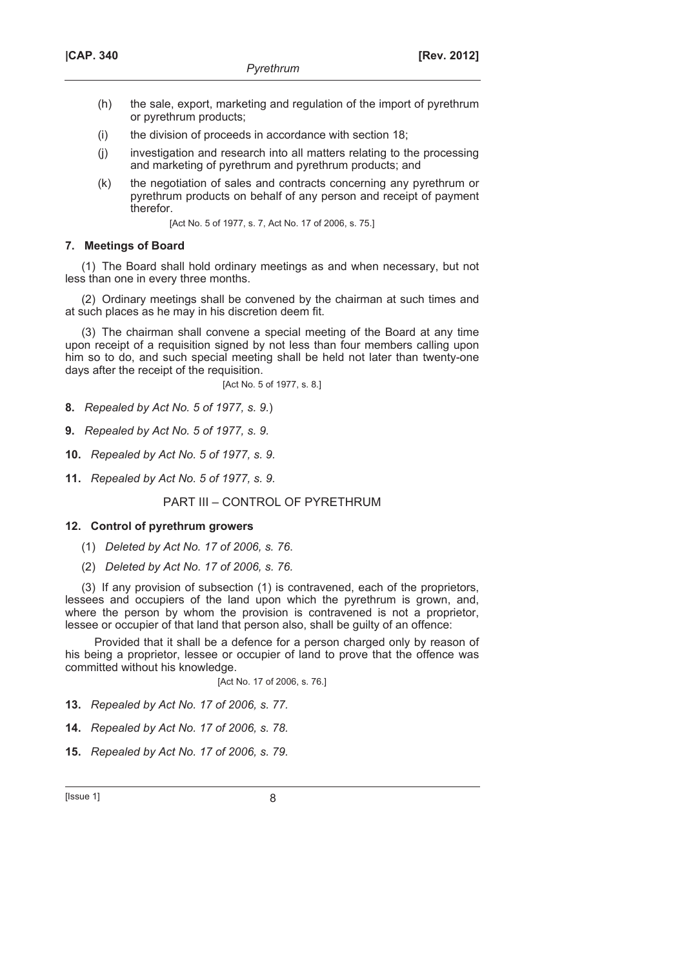- (h) the sale, export, marketing and regulation of the import of pyrethrum or pyrethrum products;
- (i) the division of proceeds in accordance with section 18;
- (j) investigation and research into all matters relating to the processing and marketing of pyrethrum and pyrethrum products; and
- (k) the negotiation of sales and contracts concerning any pyrethrum or pyrethrum products on behalf of any person and receipt of payment therefor.

[Act No. 5 of 1977, s. 7, Act No. 17 of 2006, s. 75.]

## **7. Meetings of Board**

(1) The Board shall hold ordinary meetings as and when necessary, but not less than one in every three months.

(2) Ordinary meetings shall be convened by the chairman at such times and at such places as he may in his discretion deem fit.

(3) The chairman shall convene a special meeting of the Board at any time upon receipt of a requisition signed by not less than four members calling upon him so to do, and such special meeting shall be held not later than twenty-one days after the receipt of the requisition.

[Act No. 5 of 1977, s. 8.]

**8.** *Repealed by Act No. 5 of 1977, s. 9.*)

**9.** *Repealed by Act No. 5 of 1977, s. 9.*

**10.** *Repealed by Act No. 5 of 1977, s. 9.*

**11.** *Repealed by Act No. 5 of 1977, s. 9.*

PART III – CONTROL OF PYRETHRUM

## **12. Control of pyrethrum growers**

(1) *Deleted by Act No. 17 of 2006, s. 76*.

(2) *Deleted by Act No. 17 of 2006, s. 76.*

(3) If any provision of subsection (1) is contravened, each of the proprietors, lessees and occupiers of the land upon which the pyrethrum is grown, and, where the person by whom the provision is contravened is not a proprietor, lessee or occupier of that land that person also, shall be guilty of an offence:

Provided that it shall be a defence for a person charged only by reason of his being a proprietor, lessee or occupier of land to prove that the offence was committed without his knowledge.

[Act No. 17 of 2006, s. 76.]

**13.** *Repealed by Act No. 17 of 2006, s. 77.*

**14.** *Repealed by Act No. 17 of 2006, s. 78.*

**15.** *Repealed by Act No. 17 of 2006, s. 79.*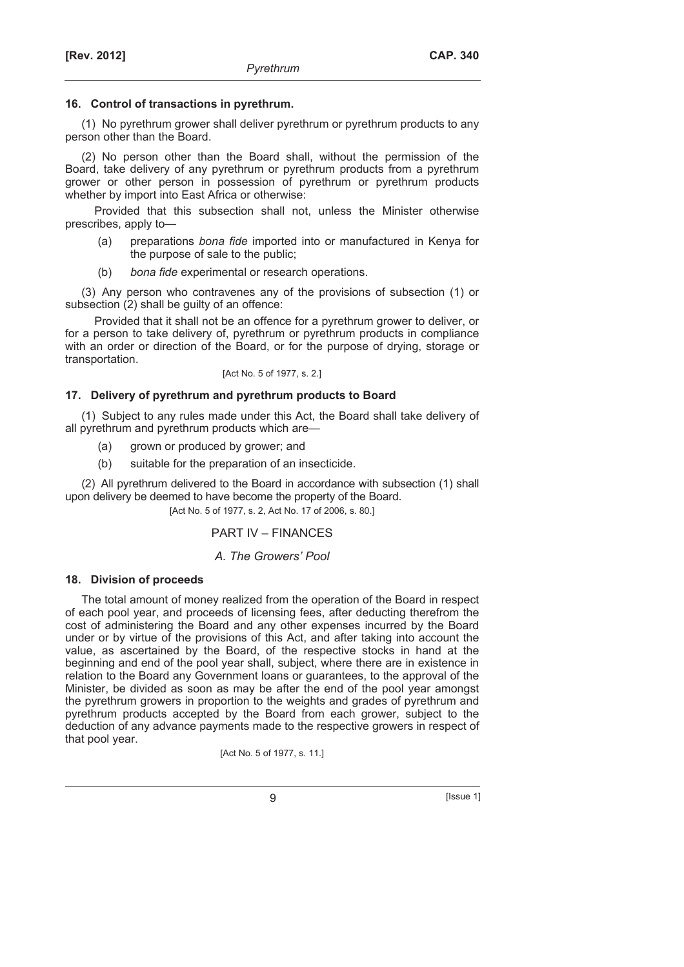## **16. Control of transactions in pyrethrum.**

(1) No pyrethrum grower shall deliver pyrethrum or pyrethrum products to any person other than the Board.

(2) No person other than the Board shall, without the permission of the Board, take delivery of any pyrethrum or pyrethrum products from a pyrethrum grower or other person in possession of pyrethrum or pyrethrum products whether by import into East Africa or otherwise:

Provided that this subsection shall not, unless the Minister otherwise prescribes, apply to—

- (a) preparations *bona fide* imported into or manufactured in Kenya for the purpose of sale to the public;
- (b) *bona fide* experimental or research operations.

(3) Any person who contravenes any of the provisions of subsection (1) or subsection (2) shall be guilty of an offence:

Provided that it shall not be an offence for a pyrethrum grower to deliver, or for a person to take delivery of, pyrethrum or pyrethrum products in compliance with an order or direction of the Board, or for the purpose of drying, storage or transportation.

[Act No. 5 of 1977, s. 2.]

# **17. Delivery of pyrethrum and pyrethrum products to Board**

(1) Subject to any rules made under this Act, the Board shall take delivery of all pyrethrum and pyrethrum products which are—

- (a) grown or produced by grower; and
- (b) suitable for the preparation of an insecticide.

(2) All pyrethrum delivered to the Board in accordance with subsection (1) shall upon delivery be deemed to have become the property of the Board.

[Act No. 5 of 1977, s. 2, Act No. 17 of 2006, s. 80.]

# PART IV – FINANCES

# *A. The Growers' Pool*

## **18. Division of proceeds**

The total amount of money realized from the operation of the Board in respect of each pool year, and proceeds of licensing fees, after deducting therefrom the cost of administering the Board and any other expenses incurred by the Board under or by virtue of the provisions of this Act, and after taking into account the value, as ascertained by the Board, of the respective stocks in hand at the beginning and end of the pool year shall, subject, where there are in existence in relation to the Board any Government loans or guarantees, to the approval of the Minister, be divided as soon as may be after the end of the pool year amongst the pyrethrum growers in proportion to the weights and grades of pyrethrum and pyrethrum products accepted by the Board from each grower, subject to the deduction of any advance payments made to the respective growers in respect of that pool year.

[Act No. 5 of 1977, s. 11.]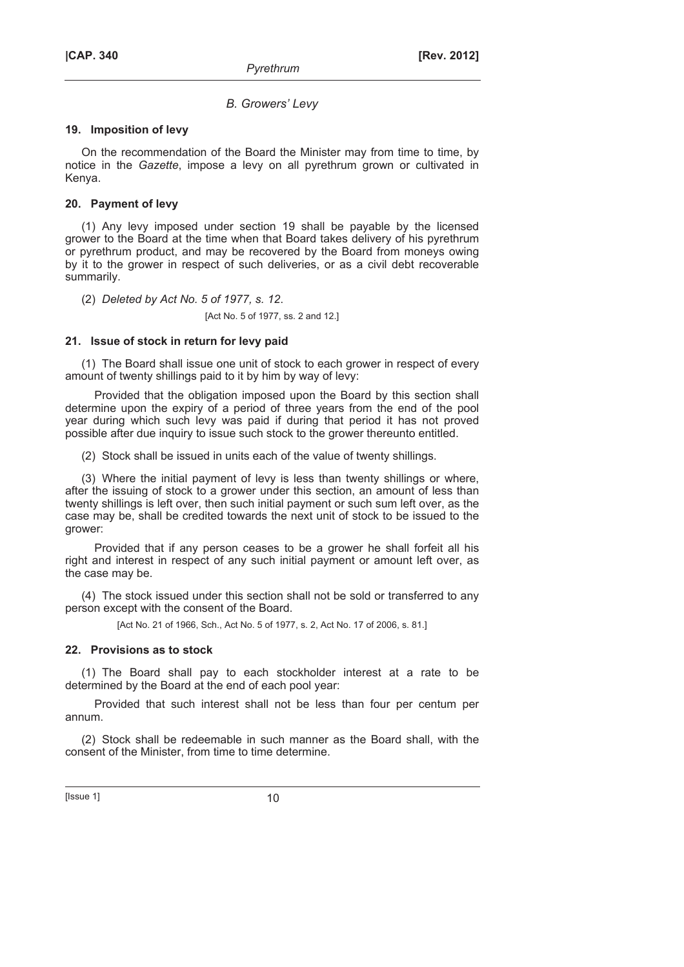## *B. Growers' Levy*

#### **19. Imposition of levy**

On the recommendation of the Board the Minister may from time to time, by notice in the *Gazette*, impose a levy on all pyrethrum grown or cultivated in Kenya.

## **20. Payment of levy**

(1) Any levy imposed under section 19 shall be payable by the licensed grower to the Board at the time when that Board takes delivery of his pyrethrum or pyrethrum product, and may be recovered by the Board from moneys owing by it to the grower in respect of such deliveries, or as a civil debt recoverable summarily.

(2) *Deleted by Act No. 5 of 1977, s. 12*.

[Act No. 5 of 1977, ss. 2 and 12.]

## **21. Issue of stock in return for levy paid**

(1) The Board shall issue one unit of stock to each grower in respect of every amount of twenty shillings paid to it by him by way of levy:

Provided that the obligation imposed upon the Board by this section shall determine upon the expiry of a period of three years from the end of the pool year during which such levy was paid if during that period it has not proved possible after due inquiry to issue such stock to the grower thereunto entitled.

(2) Stock shall be issued in units each of the value of twenty shillings.

(3) Where the initial payment of levy is less than twenty shillings or where, after the issuing of stock to a grower under this section, an amount of less than twenty shillings is left over, then such initial payment or such sum left over, as the case may be, shall be credited towards the next unit of stock to be issued to the grower:

Provided that if any person ceases to be a grower he shall forfeit all his right and interest in respect of any such initial payment or amount left over, as the case may be.

(4) The stock issued under this section shall not be sold or transferred to any person except with the consent of the Board.

[Act No. 21 of 1966, Sch., Act No. 5 of 1977, s. 2, Act No. 17 of 2006, s. 81.]

## **22. Provisions as to stock**

(1) The Board shall pay to each stockholder interest at a rate to be determined by the Board at the end of each pool year:

Provided that such interest shall not be less than four per centum per annum.

(2) Stock shall be redeemable in such manner as the Board shall, with the consent of the Minister, from time to time determine.

 $[|$  Issue 1 $]$  10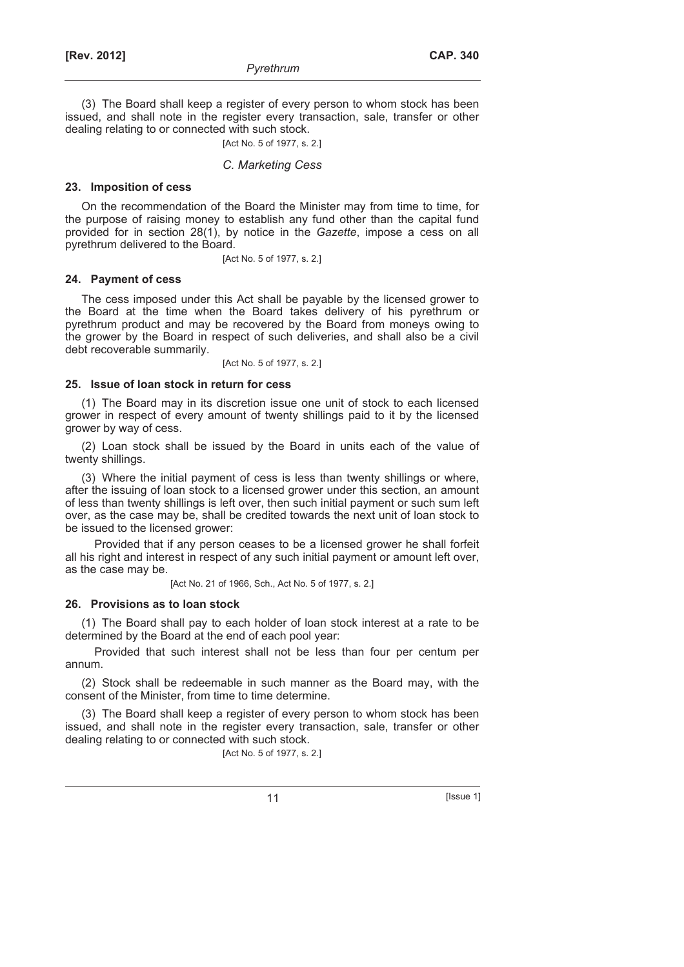(3) The Board shall keep a register of every person to whom stock has been issued, and shall note in the register every transaction, sale, transfer or other dealing relating to or connected with such stock.

[Act No. 5 of 1977, s. 2.]

#### *C. Marketing Cess*

## **23. Imposition of cess**

On the recommendation of the Board the Minister may from time to time, for the purpose of raising money to establish any fund other than the capital fund provided for in section 28(1), by notice in the *Gazette*, impose a cess on all pyrethrum delivered to the Board.

[Act No. 5 of 1977, s. 2.]

#### **24. Payment of cess**

The cess imposed under this Act shall be payable by the licensed grower to the Board at the time when the Board takes delivery of his pyrethrum or pyrethrum product and may be recovered by the Board from moneys owing to the grower by the Board in respect of such deliveries, and shall also be a civil debt recoverable summarily.

[Act No. 5 of 1977, s. 2.]

#### **25. Issue of loan stock in return for cess**

(1) The Board may in its discretion issue one unit of stock to each licensed grower in respect of every amount of twenty shillings paid to it by the licensed grower by way of cess.

(2) Loan stock shall be issued by the Board in units each of the value of twenty shillings.

(3) Where the initial payment of cess is less than twenty shillings or where, after the issuing of loan stock to a licensed grower under this section, an amount of less than twenty shillings is left over, then such initial payment or such sum left over, as the case may be, shall be credited towards the next unit of loan stock to be issued to the licensed grower:

Provided that if any person ceases to be a licensed grower he shall forfeit all his right and interest in respect of any such initial payment or amount left over, as the case may be.

[Act No. 21 of 1966, Sch., Act No. 5 of 1977, s. 2.]

#### **26. Provisions as to loan stock**

(1) The Board shall pay to each holder of loan stock interest at a rate to be determined by the Board at the end of each pool year:

Provided that such interest shall not be less than four per centum per annum.

(2) Stock shall be redeemable in such manner as the Board may, with the consent of the Minister, from time to time determine.

(3) The Board shall keep a register of every person to whom stock has been issued, and shall note in the register every transaction, sale, transfer or other dealing relating to or connected with such stock.

[Act No. 5 of 1977, s. 2.]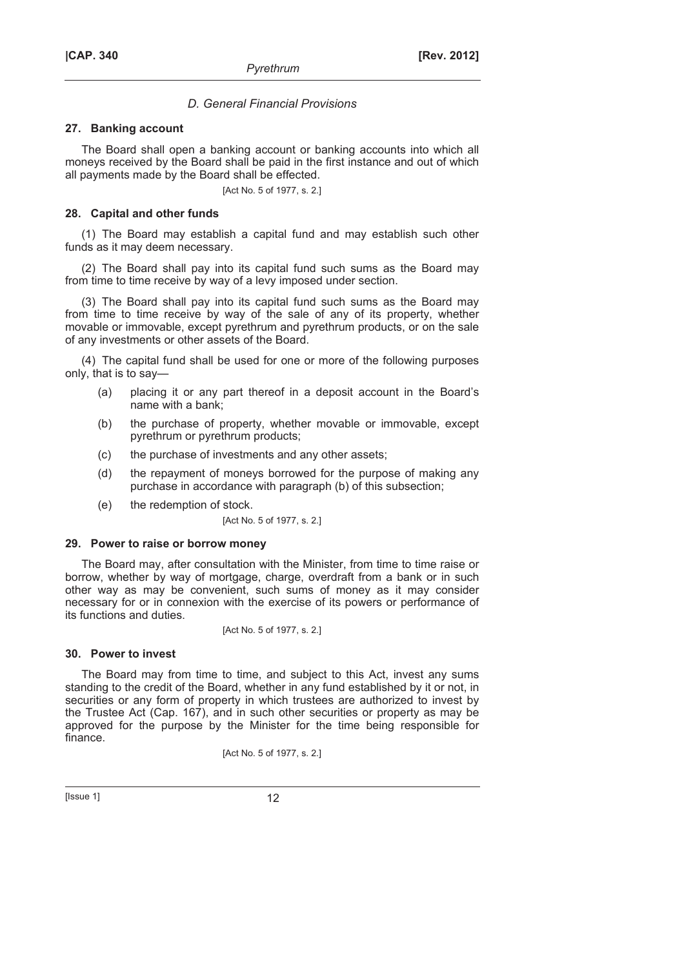## *D. General Financial Provisions*

#### **27. Banking account**

The Board shall open a banking account or banking accounts into which all moneys received by the Board shall be paid in the first instance and out of which all payments made by the Board shall be effected.

[Act No. 5 of 1977, s. 2.]

#### **28. Capital and other funds**

(1) The Board may establish a capital fund and may establish such other funds as it may deem necessary.

(2) The Board shall pay into its capital fund such sums as the Board may from time to time receive by way of a levy imposed under section.

(3) The Board shall pay into its capital fund such sums as the Board may from time to time receive by way of the sale of any of its property, whether movable or immovable, except pyrethrum and pyrethrum products, or on the sale of any investments or other assets of the Board.

(4) The capital fund shall be used for one or more of the following purposes only, that is to say—

- (a) placing it or any part thereof in a deposit account in the Board's name with a bank;
- (b) the purchase of property, whether movable or immovable, except pyrethrum or pyrethrum products;
- (c) the purchase of investments and any other assets;
- (d) the repayment of moneys borrowed for the purpose of making any purchase in accordance with paragraph (b) of this subsection;
- (e) the redemption of stock.

[Act No. 5 of 1977, s. 2.]

## **29. Power to raise or borrow money**

The Board may, after consultation with the Minister, from time to time raise or borrow, whether by way of mortgage, charge, overdraft from a bank or in such other way as may be convenient, such sums of money as it may consider necessary for or in connexion with the exercise of its powers or performance of its functions and duties.

[Act No. 5 of 1977, s. 2.]

## **30. Power to invest**

The Board may from time to time, and subject to this Act, invest any sums standing to the credit of the Board, whether in any fund established by it or not, in securities or any form of property in which trustees are authorized to invest by the Trustee Act (Cap. 167), and in such other securities or property as may be approved for the purpose by the Minister for the time being responsible for finance.

[Act No. 5 of 1977, s. 2.]

 $[|$  Issue 1 $|$  12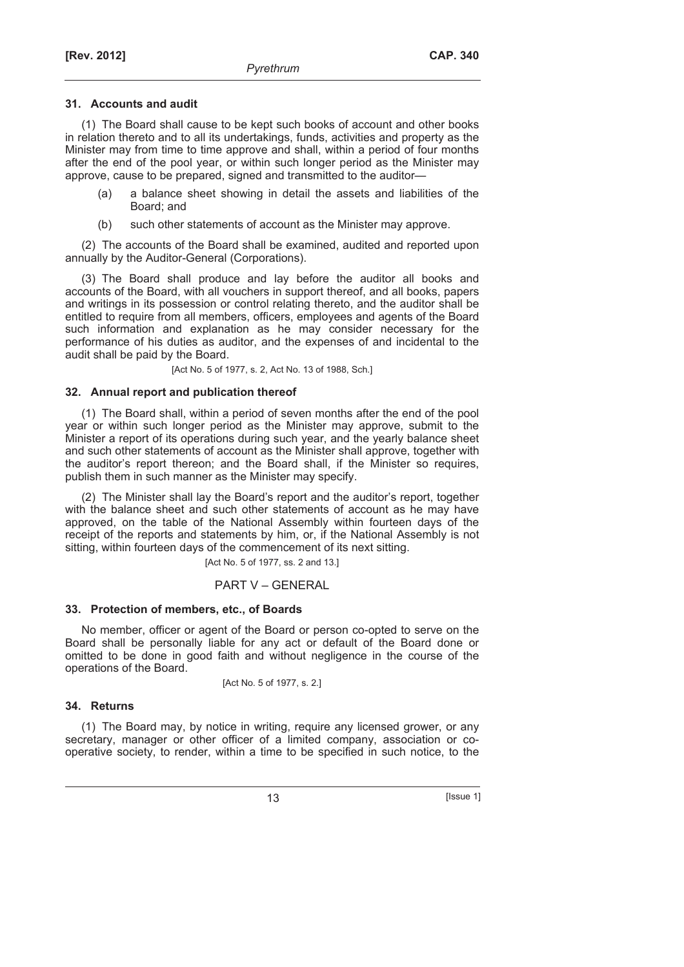## **31. Accounts and audit**

(1) The Board shall cause to be kept such books of account and other books in relation thereto and to all its undertakings, funds, activities and property as the Minister may from time to time approve and shall, within a period of four months after the end of the pool year, or within such longer period as the Minister may approve, cause to be prepared, signed and transmitted to the auditor—

- (a) a balance sheet showing in detail the assets and liabilities of the Board; and
- (b) such other statements of account as the Minister may approve.

(2) The accounts of the Board shall be examined, audited and reported upon annually by the Auditor-General (Corporations).

(3) The Board shall produce and lay before the auditor all books and accounts of the Board, with all vouchers in support thereof, and all books, papers and writings in its possession or control relating thereto, and the auditor shall be entitled to require from all members, officers, employees and agents of the Board such information and explanation as he may consider necessary for the performance of his duties as auditor, and the expenses of and incidental to the audit shall be paid by the Board.

[Act No. 5 of 1977, s. 2, Act No. 13 of 1988, Sch.]

## **32. Annual report and publication thereof**

(1) The Board shall, within a period of seven months after the end of the pool year or within such longer period as the Minister may approve, submit to the Minister a report of its operations during such year, and the yearly balance sheet and such other statements of account as the Minister shall approve, together with the auditor's report thereon; and the Board shall, if the Minister so requires, publish them in such manner as the Minister may specify.

(2) The Minister shall lay the Board's report and the auditor's report, together with the balance sheet and such other statements of account as he may have approved, on the table of the National Assembly within fourteen days of the receipt of the reports and statements by him, or, if the National Assembly is not sitting, within fourteen days of the commencement of its next sitting.

[Act No. 5 of 1977, ss. 2 and 13.]

## PART V – GENERAL

#### **33. Protection of members, etc., of Boards**

No member, officer or agent of the Board or person co-opted to serve on the Board shall be personally liable for any act or default of the Board done or omitted to be done in good faith and without negligence in the course of the operations of the Board.

[Act No. 5 of 1977, s. 2.]

#### **34. Returns**

(1) The Board may, by notice in writing, require any licensed grower, or any secretary, manager or other officer of a limited company, association or cooperative society, to render, within a time to be specified in such notice, to the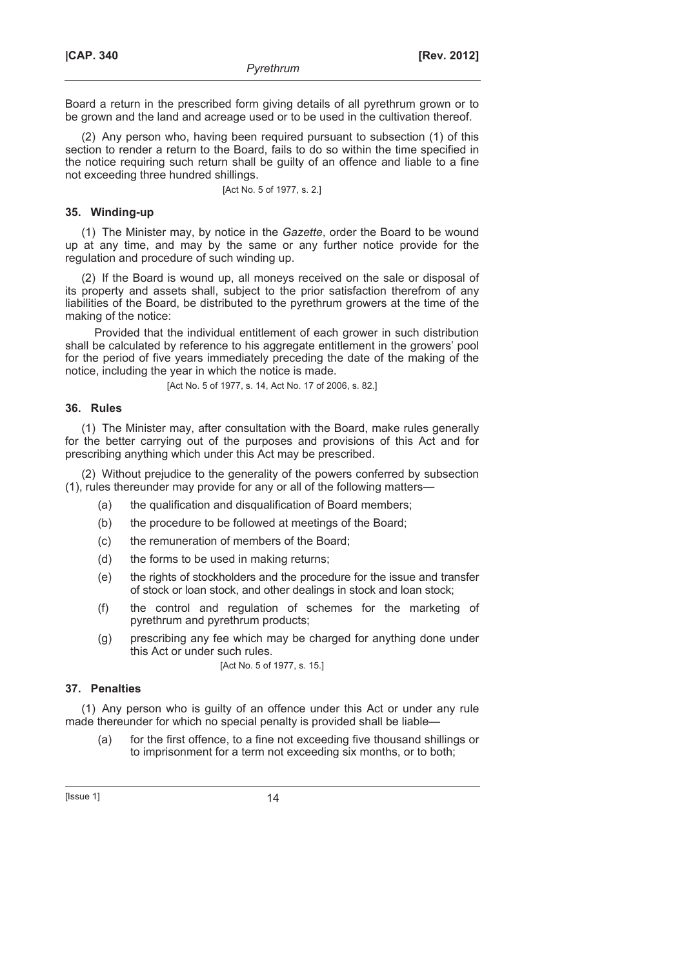Board a return in the prescribed form giving details of all pyrethrum grown or to be grown and the land and acreage used or to be used in the cultivation thereof.

(2) Any person who, having been required pursuant to subsection (1) of this section to render a return to the Board, fails to do so within the time specified in the notice requiring such return shall be guilty of an offence and liable to a fine not exceeding three hundred shillings.

[Act No. 5 of 1977, s. 2.]

## **35. Winding-up**

(1) The Minister may, by notice in the *Gazette*, order the Board to be wound up at any time, and may by the same or any further notice provide for the regulation and procedure of such winding up.

(2) If the Board is wound up, all moneys received on the sale or disposal of its property and assets shall, subject to the prior satisfaction therefrom of any liabilities of the Board, be distributed to the pyrethrum growers at the time of the making of the notice:

Provided that the individual entitlement of each grower in such distribution shall be calculated by reference to his aggregate entitlement in the growers' pool for the period of five years immediately preceding the date of the making of the notice, including the year in which the notice is made.

[Act No. 5 of 1977, s. 14, Act No. 17 of 2006, s. 82.]

## **36. Rules**

(1) The Minister may, after consultation with the Board, make rules generally for the better carrying out of the purposes and provisions of this Act and for prescribing anything which under this Act may be prescribed.

(2) Without prejudice to the generality of the powers conferred by subsection (1), rules thereunder may provide for any or all of the following matters—

- (a) the qualification and disqualification of Board members;
- (b) the procedure to be followed at meetings of the Board;
- (c) the remuneration of members of the Board;
- (d) the forms to be used in making returns;
- (e) the rights of stockholders and the procedure for the issue and transfer of stock or loan stock, and other dealings in stock and loan stock;
- (f) the control and regulation of schemes for the marketing of pyrethrum and pyrethrum products;
- (g) prescribing any fee which may be charged for anything done under this Act or under such rules.

[Act No. 5 of 1977, s. 15.]

# **37. Penalties**

(1) Any person who is guilty of an offence under this Act or under any rule made thereunder for which no special penalty is provided shall be liable—

 (a) for the first offence, to a fine not exceeding five thousand shillings or to imprisonment for a term not exceeding six months, or to both;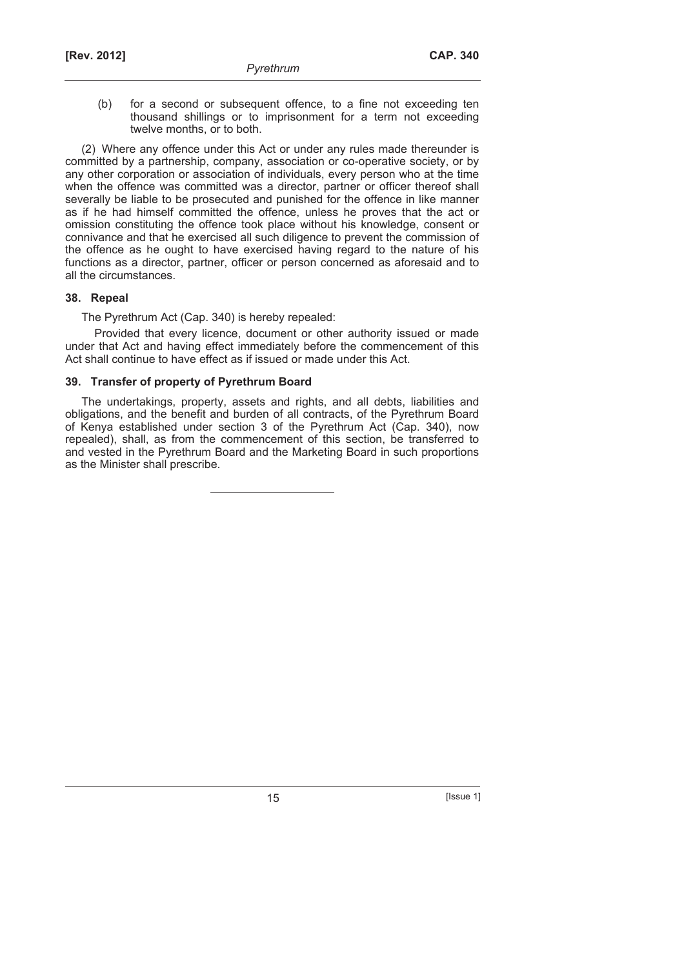(b) for a second or subsequent offence, to a fine not exceeding ten thousand shillings or to imprisonment for a term not exceeding twelve months, or to both.

(2) Where any offence under this Act or under any rules made thereunder is committed by a partnership, company, association or co-operative society, or by any other corporation or association of individuals, every person who at the time when the offence was committed was a director, partner or officer thereof shall severally be liable to be prosecuted and punished for the offence in like manner as if he had himself committed the offence, unless he proves that the act or omission constituting the offence took place without his knowledge, consent or connivance and that he exercised all such diligence to prevent the commission of the offence as he ought to have exercised having regard to the nature of his functions as a director, partner, officer or person concerned as aforesaid and to all the circumstances.

## **38. Repeal**

The Pyrethrum Act (Cap. 340) is hereby repealed:

Provided that every licence, document or other authority issued or made under that Act and having effect immediately before the commencement of this Act shall continue to have effect as if issued or made under this Act.

# **39. Transfer of property of Pyrethrum Board**

The undertakings, property, assets and rights, and all debts, liabilities and obligations, and the benefit and burden of all contracts, of the Pyrethrum Board of Kenya established under section 3 of the Pyrethrum Act (Cap. 340), now repealed), shall, as from the commencement of this section, be transferred to and vested in the Pyrethrum Board and the Marketing Board in such proportions as the Minister shall prescribe.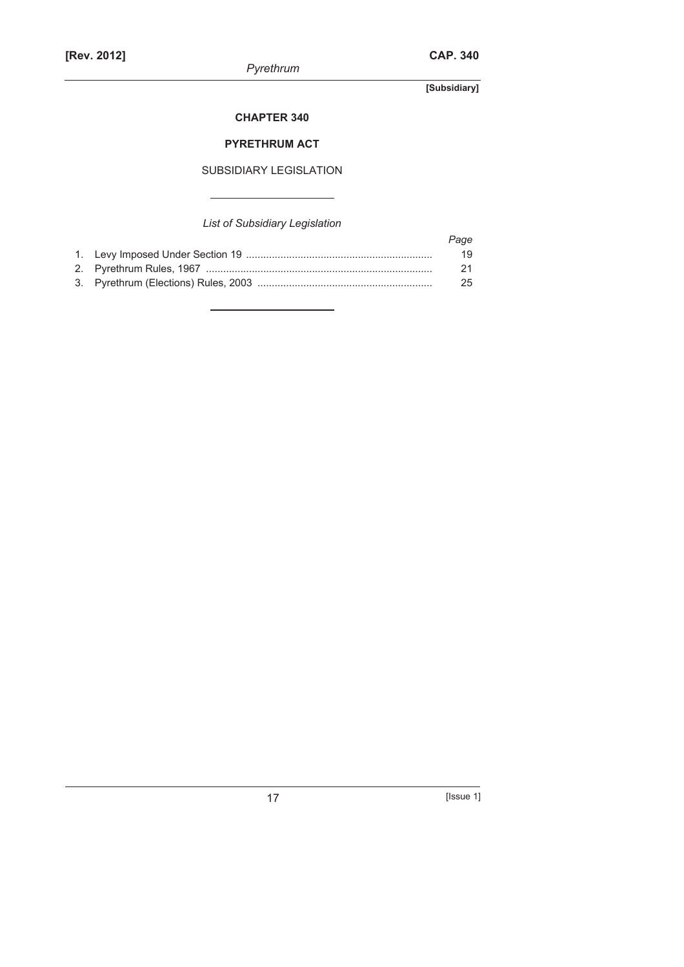*Pyrethrum* 

**[Subsidiary]** 

# **CHAPTER 340**

# **PYRETHRUM ACT**

# SUBSIDIARY LEGISLATION

# *List of Subsidiary Legislation*

|  | Page |
|--|------|
|  | 19   |
|  | 21   |
|  | 25   |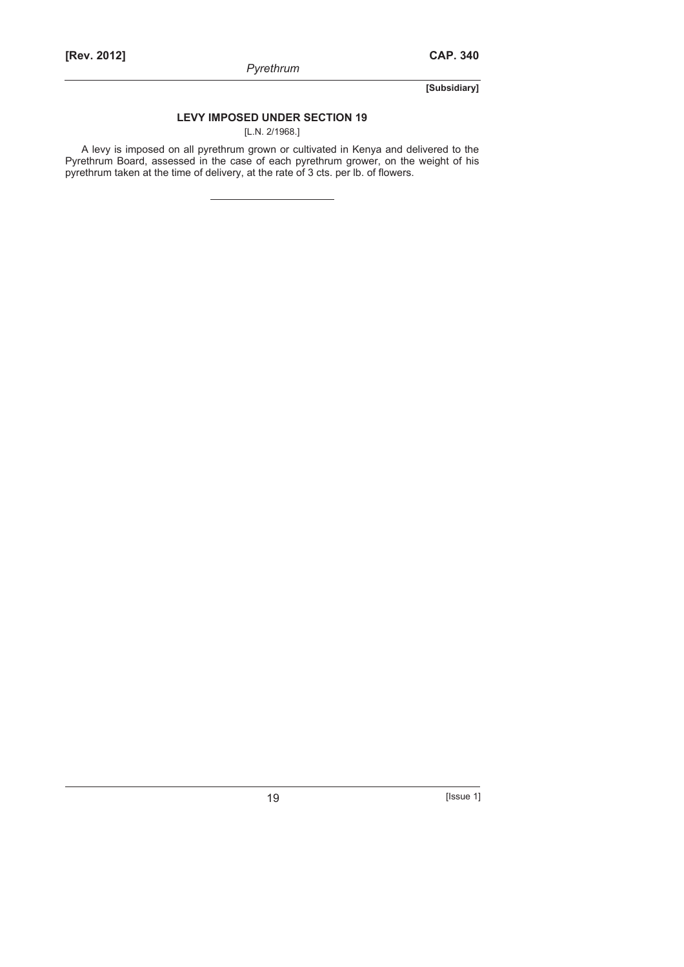*Pyrethrum* 

**[Subsidiary]** 

# **LEVY IMPOSED UNDER SECTION 19**

[L.N. 2/1968.]

A levy is imposed on all pyrethrum grown or cultivated in Kenya and delivered to the Pyrethrum Board, assessed in the case of each pyrethrum grower, on the weight of his pyrethrum taken at the time of delivery, at the rate of 3 cts. per lb. of flowers.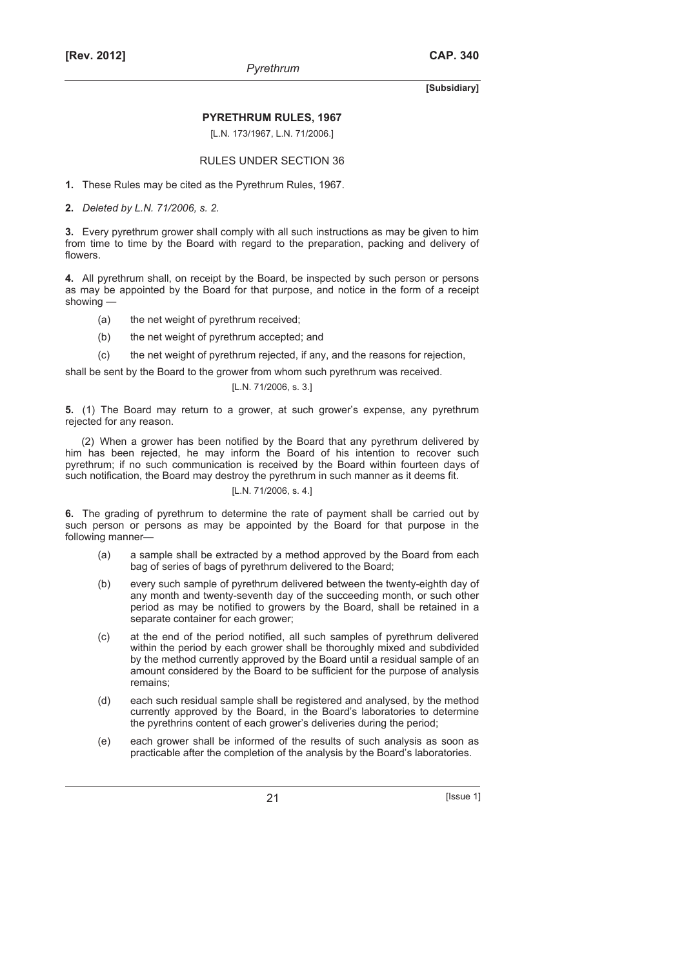#### **PYRETHRUM RULES, 1967**

[L.N. 173/1967, L.N. 71/2006.]

#### RULES UNDER SECTION 36

**1.** These Rules may be cited as the Pyrethrum Rules, 1967.

**2.** *Deleted by L.N. 71/2006, s. 2.*

**3.** Every pyrethrum grower shall comply with all such instructions as may be given to him from time to time by the Board with regard to the preparation, packing and delivery of flowers.

**4.** All pyrethrum shall, on receipt by the Board, be inspected by such person or persons as may be appointed by the Board for that purpose, and notice in the form of a receipt showing —

- (a) the net weight of pyrethrum received;
- (b) the net weight of pyrethrum accepted; and
- (c) the net weight of pyrethrum rejected, if any, and the reasons for rejection,

shall be sent by the Board to the grower from whom such pyrethrum was received.

```
[L.N. 71/2006, s. 3.]
```
**5.** (1) The Board may return to a grower, at such grower's expense, any pyrethrum rejected for any reason.

(2) When a grower has been notified by the Board that any pyrethrum delivered by him has been rejected, he may inform the Board of his intention to recover such pyrethrum; if no such communication is received by the Board within fourteen days of such notification, the Board may destroy the pyrethrum in such manner as it deems fit.

#### [L.N. 71/2006, s. 4.]

**6.** The grading of pyrethrum to determine the rate of payment shall be carried out by such person or persons as may be appointed by the Board for that purpose in the following manner—

- (a) a sample shall be extracted by a method approved by the Board from each bag of series of bags of pyrethrum delivered to the Board;
- (b) every such sample of pyrethrum delivered between the twenty-eighth day of any month and twenty-seventh day of the succeeding month, or such other period as may be notified to growers by the Board, shall be retained in a separate container for each grower;
- (c) at the end of the period notified, all such samples of pyrethrum delivered within the period by each grower shall be thoroughly mixed and subdivided by the method currently approved by the Board until a residual sample of an amount considered by the Board to be sufficient for the purpose of analysis remains;
- (d) each such residual sample shall be registered and analysed, by the method currently approved by the Board, in the Board's laboratories to determine the pyrethrins content of each grower's deliveries during the period;
- (e) each grower shall be informed of the results of such analysis as soon as practicable after the completion of the analysis by the Board's laboratories.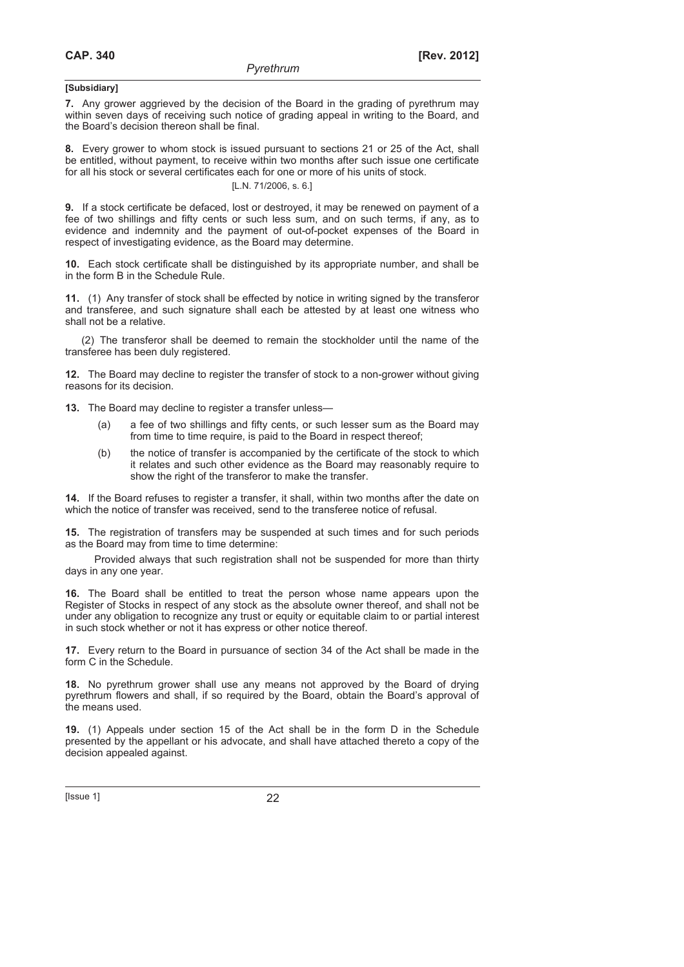**7.** Any grower aggrieved by the decision of the Board in the grading of pyrethrum may within seven days of receiving such notice of grading appeal in writing to the Board, and the Board's decision thereon shall be final.

**8.** Every grower to whom stock is issued pursuant to sections 21 or 25 of the Act, shall be entitled, without payment, to receive within two months after such issue one certificate for all his stock or several certificates each for one or more of his units of stock.

#### [L.N. 71/2006, s. 6.]

**9.** If a stock certificate be defaced, lost or destroyed, it may be renewed on payment of a fee of two shillings and fifty cents or such less sum, and on such terms, if any, as to evidence and indemnity and the payment of out-of-pocket expenses of the Board in respect of investigating evidence, as the Board may determine.

**10.** Each stock certificate shall be distinguished by its appropriate number, and shall be in the form B in the Schedule Rule.

**11.** (1) Any transfer of stock shall be effected by notice in writing signed by the transferor and transferee, and such signature shall each be attested by at least one witness who shall not be a relative.

(2) The transferor shall be deemed to remain the stockholder until the name of the transferee has been duly registered.

**12.** The Board may decline to register the transfer of stock to a non-grower without giving reasons for its decision.

**13.** The Board may decline to register a transfer unless—

- (a) a fee of two shillings and fifty cents, or such lesser sum as the Board may from time to time require, is paid to the Board in respect thereof;
- (b) the notice of transfer is accompanied by the certificate of the stock to which it relates and such other evidence as the Board may reasonably require to show the right of the transferor to make the transfer.

**14.** If the Board refuses to register a transfer, it shall, within two months after the date on which the notice of transfer was received, send to the transferee notice of refusal.

**15.** The registration of transfers may be suspended at such times and for such periods as the Board may from time to time determine:

Provided always that such registration shall not be suspended for more than thirty days in any one year.

**16.** The Board shall be entitled to treat the person whose name appears upon the Register of Stocks in respect of any stock as the absolute owner thereof, and shall not be under any obligation to recognize any trust or equity or equitable claim to or partial interest in such stock whether or not it has express or other notice thereof.

**17.** Every return to the Board in pursuance of section 34 of the Act shall be made in the form C in the Schedule.

**18.** No pyrethrum grower shall use any means not approved by the Board of drying pyrethrum flowers and shall, if so required by the Board, obtain the Board's approval of the means used.

**19.** (1) Appeals under section 15 of the Act shall be in the form D in the Schedule presented by the appellant or his advocate, and shall have attached thereto a copy of the decision appealed against.

[Issue 1] 22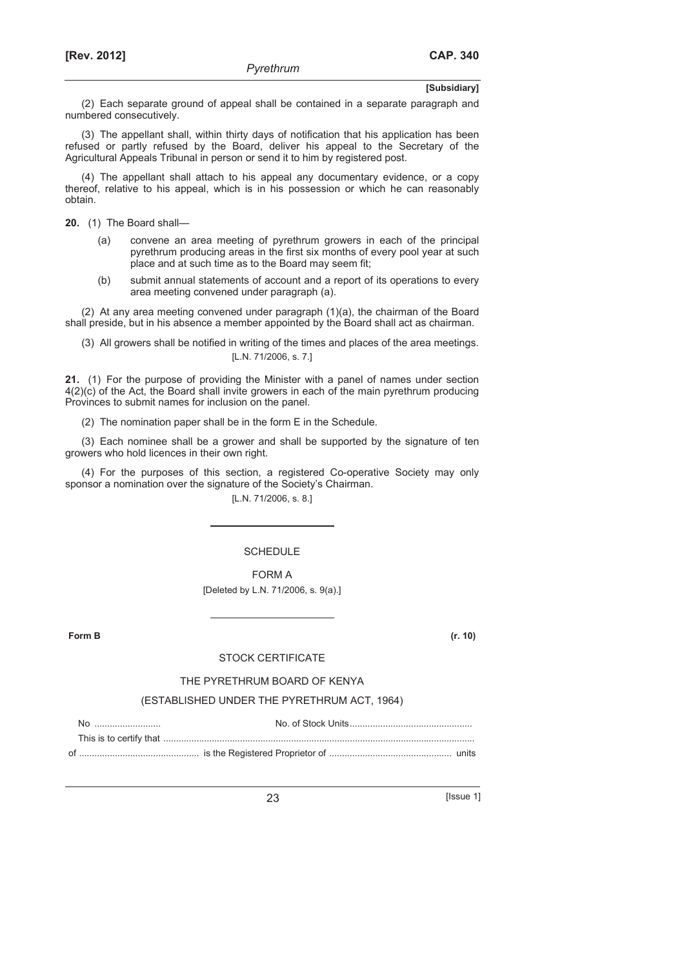(2) Each separate ground of appeal shall be contained in a separate paragraph and numbered consecutively.

(3) The appellant shall, within thirty days of notification that his application has been refused or partly refused by the Board, deliver his appeal to the Secretary of the Agricultural Appeals Tribunal in person or send it to him by registered post.

(4) The appellant shall attach to his appeal any documentary evidence, or a copy thereof, relative to his appeal, which is in his possession or which he can reasonably obtain.

**20.** (1) The Board shall—

- (a) convene an area meeting of pyrethrum growers in each of the principal pyrethrum producing areas in the first six months of every pool year at such place and at such time as to the Board may seem fit;
- (b) submit annual statements of account and a report of its operations to every area meeting convened under paragraph (a).

(2) At any area meeting convened under paragraph (1)(a), the chairman of the Board shall preside, but in his absence a member appointed by the Board shall act as chairman.

(3) All growers shall be notified in writing of the times and places of the area meetings. [L.N. 71/2006, s. 7.]

**21.** (1) For the purpose of providing the Minister with a panel of names under section 4(2)(c) of the Act, the Board shall invite growers in each of the main pyrethrum producing Provinces to submit names for inclusion on the panel.

(2) The nomination paper shall be in the form E in the Schedule.

(3) Each nominee shall be a grower and shall be supported by the signature of ten growers who hold licences in their own right.

(4) For the purposes of this section, a registered Co-operative Society may only sponsor a nomination over the signature of the Society's Chairman.

[L.N. 71/2006, s. 8.]

#### **SCHEDULE**

FORM A [Deleted by L.N. 71/2006, s. 9(a).]

**Form B (r. 10)**

#### STOCK CERTIFICATE

#### THE PYRETHRUM BOARD OF KENYA

#### (ESTABLISHED UNDER THE PYRETHRUM ACT, 1964)

No .......................... No. of Stock Units................................................

This is to certify that .......................................................................................................................... of ............................................... is the Registered Proprietor of ................................................ units

23 [Issue 1]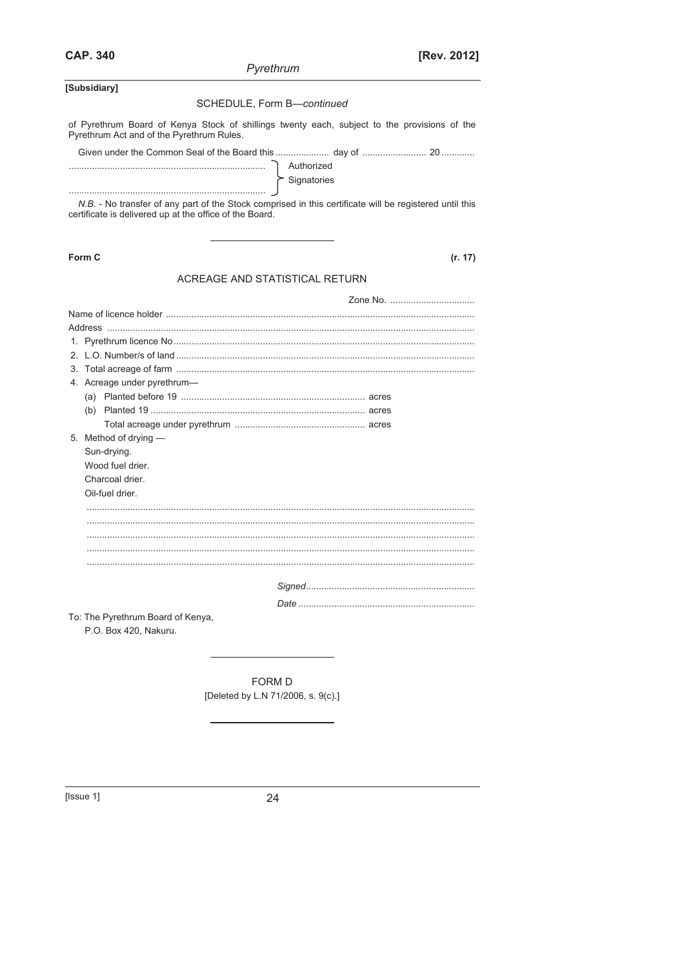Pyrethrum

## [Subsidiary]

#### SCHEDULE, Form B-continued

of Pyrethrum Board of Kenya Stock of shillings twenty each, subject to the provisions of the Pyrethrum Act and of the Pyrethrum Rules.

| Authorized    |  |
|---------------|--|
| " Signatories |  |
|               |  |

N.B. - No transfer of any part of the Stock comprised in this certificate will be registered until this certificate is delivered up at the office of the Board.

Form C

 $(r. 17)$ 

## ACREAGE AND STATISTICAL RETURN

| 4. Acreage under pyrethrum-       |  |  |  |  |  |  |  |
|-----------------------------------|--|--|--|--|--|--|--|
|                                   |  |  |  |  |  |  |  |
|                                   |  |  |  |  |  |  |  |
|                                   |  |  |  |  |  |  |  |
| 5. Method of drying -             |  |  |  |  |  |  |  |
| Sun-drying.                       |  |  |  |  |  |  |  |
| Wood fuel drier.                  |  |  |  |  |  |  |  |
| Charcoal drier.                   |  |  |  |  |  |  |  |
| Oil-fuel drier.                   |  |  |  |  |  |  |  |
|                                   |  |  |  |  |  |  |  |
|                                   |  |  |  |  |  |  |  |
|                                   |  |  |  |  |  |  |  |
|                                   |  |  |  |  |  |  |  |
|                                   |  |  |  |  |  |  |  |
|                                   |  |  |  |  |  |  |  |
|                                   |  |  |  |  |  |  |  |
|                                   |  |  |  |  |  |  |  |
| To: The Pyrethrum Board of Kenya, |  |  |  |  |  |  |  |
| P.O. Box 420, Nakuru.             |  |  |  |  |  |  |  |

FORM D [Deleted by L.N 71/2006, s. 9(c).]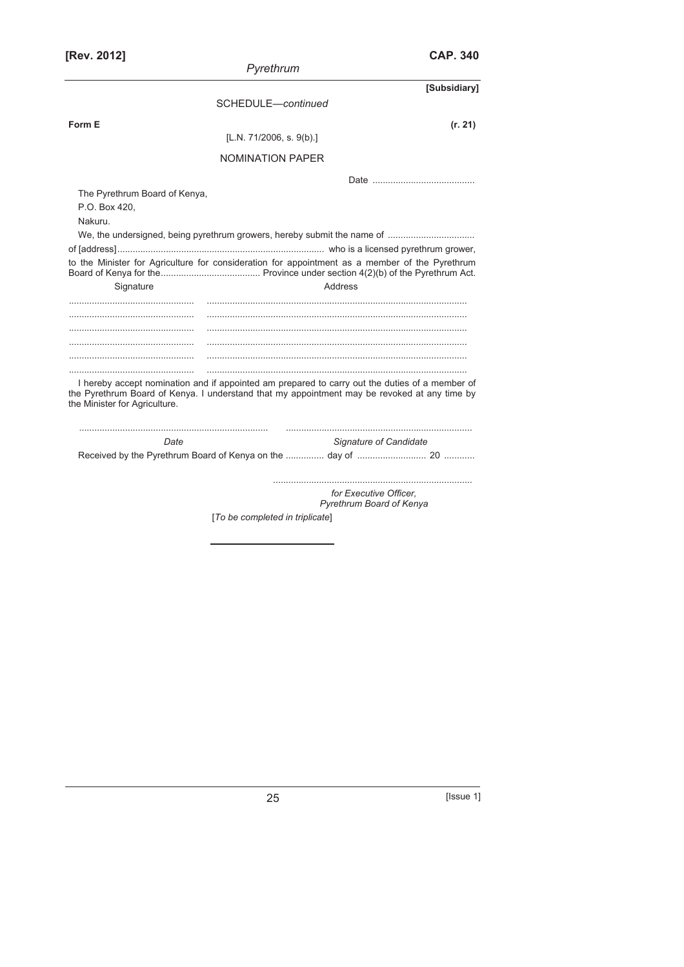| [Rev. 2012]                                    |                                 | <b>CAP. 340</b>                                                                                                                                                                                |
|------------------------------------------------|---------------------------------|------------------------------------------------------------------------------------------------------------------------------------------------------------------------------------------------|
|                                                | Pyrethrum                       |                                                                                                                                                                                                |
|                                                |                                 | [Subsidiary]                                                                                                                                                                                   |
|                                                | SCHEDULE-continued              |                                                                                                                                                                                                |
| Form E                                         |                                 | (r. 21)                                                                                                                                                                                        |
|                                                | [L.N. 71/2006, s. $9(b)$ ]      |                                                                                                                                                                                                |
|                                                | <b>NOMINATION PAPER</b>         |                                                                                                                                                                                                |
|                                                |                                 |                                                                                                                                                                                                |
| The Pyrethrum Board of Kenya,<br>P.O. Box 420, |                                 |                                                                                                                                                                                                |
| Nakuru.                                        |                                 |                                                                                                                                                                                                |
|                                                |                                 |                                                                                                                                                                                                |
|                                                |                                 | to the Minister for Agriculture for consideration for appointment as a member of the Pyrethrum                                                                                                 |
|                                                |                                 |                                                                                                                                                                                                |
| Signature                                      |                                 | Address                                                                                                                                                                                        |
|                                                |                                 |                                                                                                                                                                                                |
|                                                |                                 |                                                                                                                                                                                                |
|                                                |                                 |                                                                                                                                                                                                |
|                                                |                                 |                                                                                                                                                                                                |
|                                                |                                 |                                                                                                                                                                                                |
|                                                |                                 |                                                                                                                                                                                                |
| the Minister for Agriculture.                  |                                 | I hereby accept nomination and if appointed am prepared to carry out the duties of a member of<br>the Pyrethrum Board of Kenya. I understand that my appointment may be revoked at any time by |
| Date                                           |                                 | Signature of Candidate                                                                                                                                                                         |
|                                                |                                 |                                                                                                                                                                                                |
|                                                |                                 | for Executive Officer,<br>Pyrethrum Board of Kenya                                                                                                                                             |
|                                                | [To be completed in triplicate] |                                                                                                                                                                                                |
|                                                |                                 |                                                                                                                                                                                                |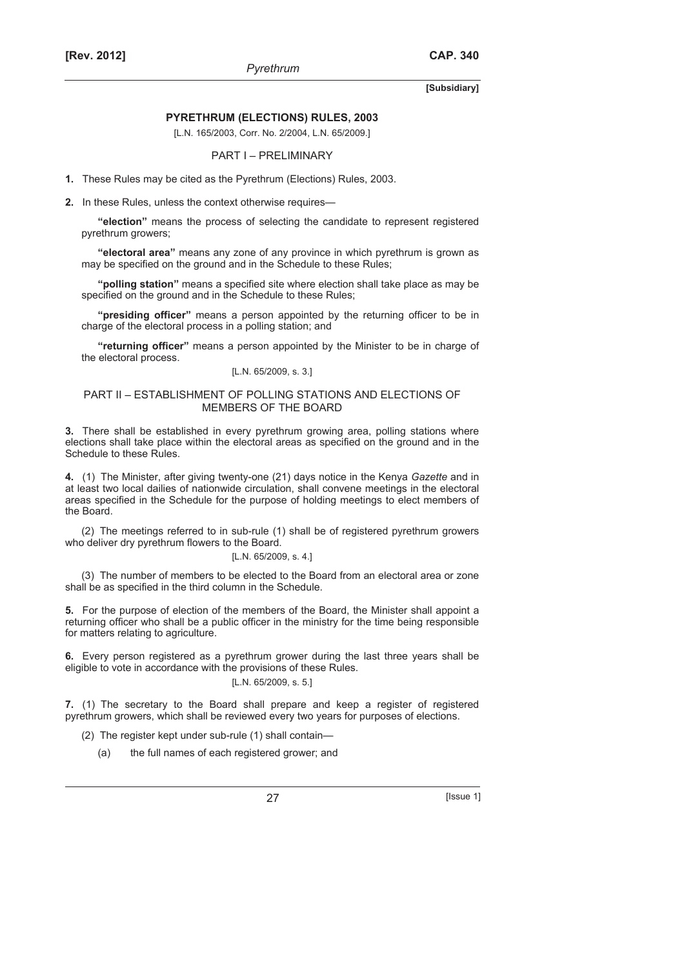#### **PYRETHRUM (ELECTIONS) RULES, 2003**

[L.N. 165/2003, Corr. No. 2/2004, L.N. 65/2009.]

#### PART I – PRELIMINARY

**1.** These Rules may be cited as the Pyrethrum (Elections) Rules, 2003.

**2.** In these Rules, unless the context otherwise requires—

**"election"** means the process of selecting the candidate to represent registered pyrethrum growers;

**"electoral area"** means any zone of any province in which pyrethrum is grown as may be specified on the ground and in the Schedule to these Rules;

**"polling station"** means a specified site where election shall take place as may be specified on the ground and in the Schedule to these Rules;

**"presiding officer"** means a person appointed by the returning officer to be in charge of the electoral process in a polling station; and

**"returning officer"** means a person appointed by the Minister to be in charge of the electoral process.

#### [L.N. 65/2009, s. 3.]

#### PART II – ESTABLISHMENT OF POLLING STATIONS AND ELECTIONS OF MEMBERS OF THE BOARD

**3.** There shall be established in every pyrethrum growing area, polling stations where elections shall take place within the electoral areas as specified on the ground and in the Schedule to these Rules.

**4.** (1) The Minister, after giving twenty-one (21) days notice in the Kenya *Gazette* and in at least two local dailies of nationwide circulation, shall convene meetings in the electoral areas specified in the Schedule for the purpose of holding meetings to elect members of the Board.

(2) The meetings referred to in sub-rule (1) shall be of registered pyrethrum growers who deliver dry pyrethrum flowers to the Board.

#### [L.N. 65/2009, s. 4.]

(3) The number of members to be elected to the Board from an electoral area or zone shall be as specified in the third column in the Schedule.

**5.** For the purpose of election of the members of the Board, the Minister shall appoint a returning officer who shall be a public officer in the ministry for the time being responsible for matters relating to agriculture.

**6.** Every person registered as a pyrethrum grower during the last three years shall be eligible to vote in accordance with the provisions of these Rules.

#### [L.N. 65/2009, s. 5.]

**7.** (1) The secretary to the Board shall prepare and keep a register of registered pyrethrum growers, which shall be reviewed every two years for purposes of elections.

(2) The register kept under sub-rule (1) shall contain—

(a) the full names of each registered grower; and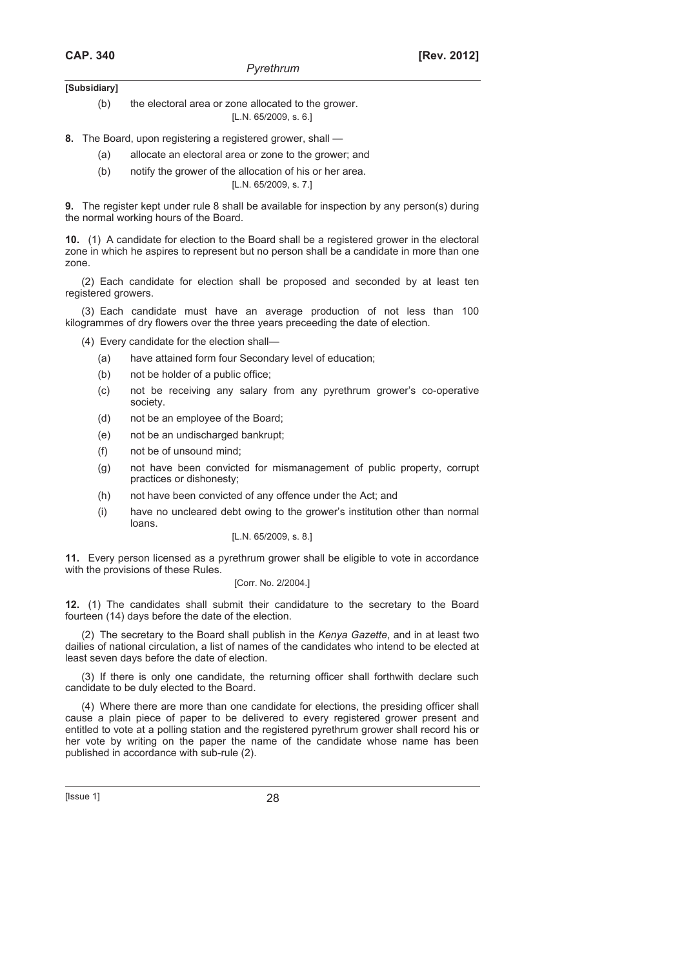- (b) the electoral area or zone allocated to the grower. [L.N. 65/2009, s. 6.]
- **8.** The Board, upon registering a registered grower, shall
	- (a) allocate an electoral area or zone to the grower; and
	- (b) notify the grower of the allocation of his or her area. [L.N. 65/2009, s. 7.]

**9.** The register kept under rule 8 shall be available for inspection by any person(s) during the normal working hours of the Board.

**10.** (1) A candidate for election to the Board shall be a registered grower in the electoral zone in which he aspires to represent but no person shall be a candidate in more than one zone.

(2) Each candidate for election shall be proposed and seconded by at least ten registered growers.

(3) Each candidate must have an average production of not less than 100 kilogrammes of dry flowers over the three years preceeding the date of election.

(4) Every candidate for the election shall—

- (a) have attained form four Secondary level of education;
- (b) not be holder of a public office;
- (c) not be receiving any salary from any pyrethrum grower's co-operative society.
- (d) not be an employee of the Board;
- (e) not be an undischarged bankrupt;
- (f) not be of unsound mind;
- (g) not have been convicted for mismanagement of public property, corrupt practices or dishonesty;
- (h) not have been convicted of any offence under the Act; and
- (i) have no uncleared debt owing to the grower's institution other than normal loans.

## [L.N. 65/2009, s. 8.]

**11.** Every person licensed as a pyrethrum grower shall be eligible to vote in accordance with the provisions of these Rules.

## [Corr. No. 2/2004.]

**12.** (1) The candidates shall submit their candidature to the secretary to the Board fourteen (14) days before the date of the election.

(2) The secretary to the Board shall publish in the *Kenya Gazette*, and in at least two dailies of national circulation, a list of names of the candidates who intend to be elected at least seven days before the date of election.

(3) If there is only one candidate, the returning officer shall forthwith declare such candidate to be duly elected to the Board.

(4) Where there are more than one candidate for elections, the presiding officer shall cause a plain piece of paper to be delivered to every registered grower present and entitled to vote at a polling station and the registered pyrethrum grower shall record his or her vote by writing on the paper the name of the candidate whose name has been published in accordance with sub-rule (2).

[Issue 1] 28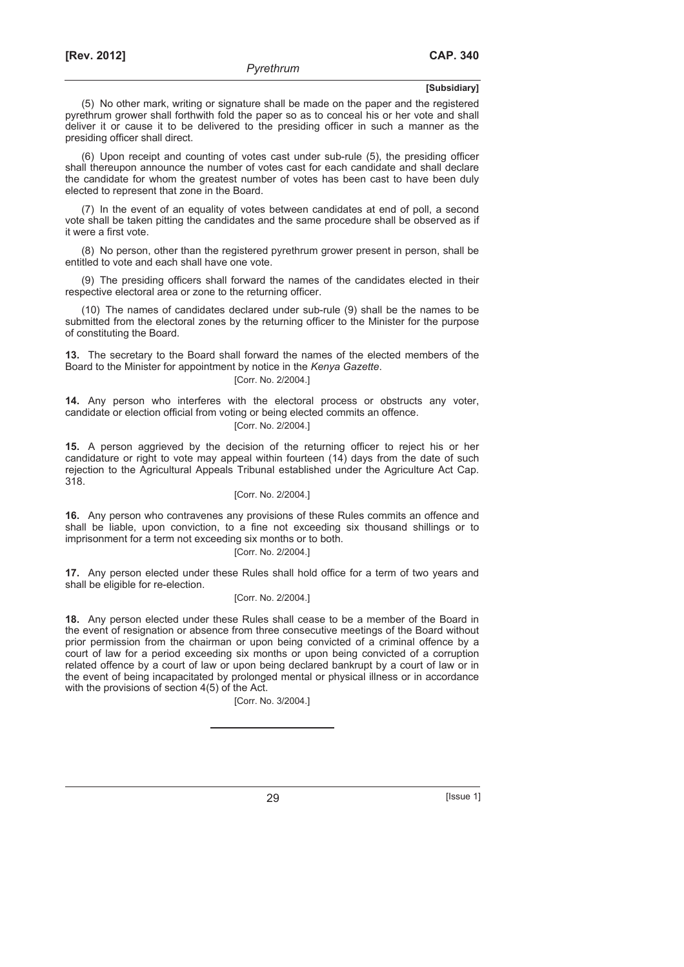(5) No other mark, writing or signature shall be made on the paper and the registered pyrethrum grower shall forthwith fold the paper so as to conceal his or her vote and shall deliver it or cause it to be delivered to the presiding officer in such a manner as the presiding officer shall direct.

(6) Upon receipt and counting of votes cast under sub-rule (5), the presiding officer shall thereupon announce the number of votes cast for each candidate and shall declare the candidate for whom the greatest number of votes has been cast to have been duly elected to represent that zone in the Board.

(7) In the event of an equality of votes between candidates at end of poll, a second vote shall be taken pitting the candidates and the same procedure shall be observed as if it were a first vote.

(8) No person, other than the registered pyrethrum grower present in person, shall be entitled to vote and each shall have one vote.

(9) The presiding officers shall forward the names of the candidates elected in their respective electoral area or zone to the returning officer.

(10) The names of candidates declared under sub-rule (9) shall be the names to be submitted from the electoral zones by the returning officer to the Minister for the purpose of constituting the Board.

**13.** The secretary to the Board shall forward the names of the elected members of the Board to the Minister for appointment by notice in the *Kenya Gazette*.

#### [Corr. No. 2/2004.]

**14.** Any person who interferes with the electoral process or obstructs any voter, candidate or election official from voting or being elected commits an offence. [Corr. No. 2/2004.]

**15.** A person aggrieved by the decision of the returning officer to reject his or her candidature or right to vote may appeal within fourteen (14) days from the date of such rejection to the Agricultural Appeals Tribunal established under the Agriculture Act Cap. 318.

#### [Corr. No. 2/2004.]

**16.** Any person who contravenes any provisions of these Rules commits an offence and shall be liable, upon conviction, to a fine not exceeding six thousand shillings or to imprisonment for a term not exceeding six months or to both.

## [Corr. No. 2/2004.]

**17.** Any person elected under these Rules shall hold office for a term of two years and shall be eligible for re-election.

#### [Corr. No. 2/2004.]

**18.** Any person elected under these Rules shall cease to be a member of the Board in the event of resignation or absence from three consecutive meetings of the Board without prior permission from the chairman or upon being convicted of a criminal offence by a court of law for a period exceeding six months or upon being convicted of a corruption related offence by a court of law or upon being declared bankrupt by a court of law or in the event of being incapacitated by prolonged mental or physical illness or in accordance with the provisions of section 4(5) of the Act.

[Corr. No. 3/2004.]